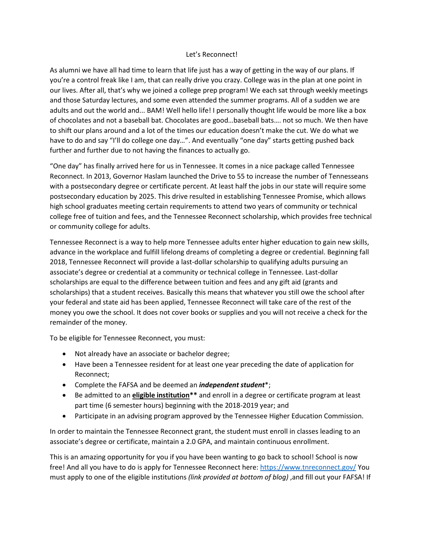## Let's Reconnect!

As alumni we have all had time to learn that life just has a way of getting in the way of our plans. If you're a control freak like I am, that can really drive you crazy. College was in the plan at one point in our lives. After all, that's why we joined a college prep program! We each sat through weekly meetings and those Saturday lectures, and some even attended the summer programs. All of a sudden we are adults and out the world and... BAM! Well hello life! I personally thought life would be more like a box of chocolates and not a baseball bat. Chocolates are good…baseball bats…. not so much. We then have to shift our plans around and a lot of the times our education doesn't make the cut. We do what we have to do and say "I'll do college one day...". And eventually "one day" starts getting pushed back further and further due to not having the finances to actually go.

"One day" has finally arrived here for us in Tennessee. It comes in a nice package called Tennessee Reconnect. In 2013, Governor Haslam launched the Drive to 55 to increase the number of Tennesseans with a postsecondary degree or certificate percent. At least half the jobs in our state will require some postsecondary education by 2025. This drive resulted in establishing Tennessee Promise, which allows high school graduates meeting certain requirements to attend two years of community or technical college free of tuition and fees, and the Tennessee Reconnect scholarship, which provides free technical or community college for adults.

Tennessee Reconnect is a way to help more Tennessee adults enter higher education to gain new skills, advance in the workplace and fulfill lifelong dreams of completing a degree or credential. Beginning fall 2018, Tennessee Reconnect will provide a last-dollar scholarship to qualifying adults pursuing an associate's degree or credential at a community or technical college in Tennessee. Last-dollar scholarships are equal to the difference between tuition and fees and any gift aid (grants and scholarships) that a student receives. Basically this means that whatever you still owe the school after your federal and state aid has been applied, Tennessee Reconnect will take care of the rest of the money you owe the school. It does not cover books or supplies and you will not receive a check for the remainder of the money.

To be eligible for Tennessee Reconnect, you must:

- Not already have an associate or bachelor degree;
- Have been a Tennessee resident for at least one year preceding the date of application for Reconnect;
- Complete the FAFSA and be deemed an *independent student*\*;
- Be admitted to an **eligible institution\*\*** and enroll in a degree or certificate program at least part time (6 semester hours) beginning with the 2018-2019 year; and
- Participate in an advising program approved by the Tennessee Higher Education Commission.

In order to maintain the Tennessee Reconnect grant, the student must enroll in classes leading to an associate's degree or certificate, maintain a 2.0 GPA, and maintain continuous enrollment.

This is an amazing opportunity for you if you have been wanting to go back to school! School is now free! And all you have to do is apply for Tennessee Reconnect here: <https://www.tnreconnect.gov/> You must apply to one of the eligible institutions *(link provided at bottom of blog)* ,and fill out your FAFSA! If